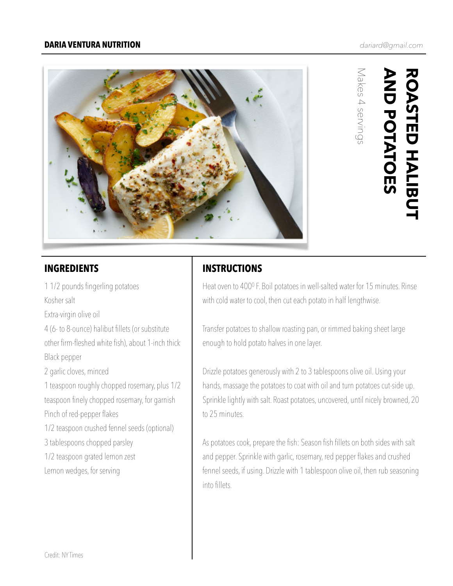### **DARIA VENTURA NUTRITION**



**AND POTATOES ROASTED HALIBUT<br>AND POTATOES ROASTED HALIBUT** 

Makes 4 servings

Makes 4 servings

1 1/2 pounds fingerling potatoes Kosher salt

Extra-virgin olive oil

4 (6- to 8-ounce) halibut fillets (or substitute

other firm-fleshed white fish), about 1-inch thick Black pepper

2 garlic cloves, minced

1 teaspoon roughly chopped rosemary, plus 1/2 teaspoon finely chopped rosemary, for garnish Pinch of red-pepper flakes

1/2 teaspoon crushed fennel seeds (optional)

3 tablespoons chopped parsley

1/2 teaspoon grated lemon zest

Lemon wedges, for serving

# **INGREDIENTS INSTRUCTIONS**

Heat oven to 4000 F. Boil potatoes in well-salted water for 15 minutes. Rinse with cold water to cool, then cut each potato in half lengthwise.

Transfer potatoes to shallow roasting pan, or rimmed baking sheet large enough to hold potato halves in one layer.

Drizzle potatoes generously with 2 to 3 tablespoons olive oil. Using your hands, massage the potatoes to coat with oil and turn potatoes cut-side up. Sprinkle lightly with salt. Roast potatoes, uncovered, until nicely browned, 20 to 25 minutes.

As potatoes cook, prepare the fish: Season fish fillets on both sides with salt and pepper. Sprinkle with garlic, rosemary, red pepper flakes and crushed fennel seeds, if using. Drizzle with 1 tablespoon olive oil, then rub seasoning into fillets.